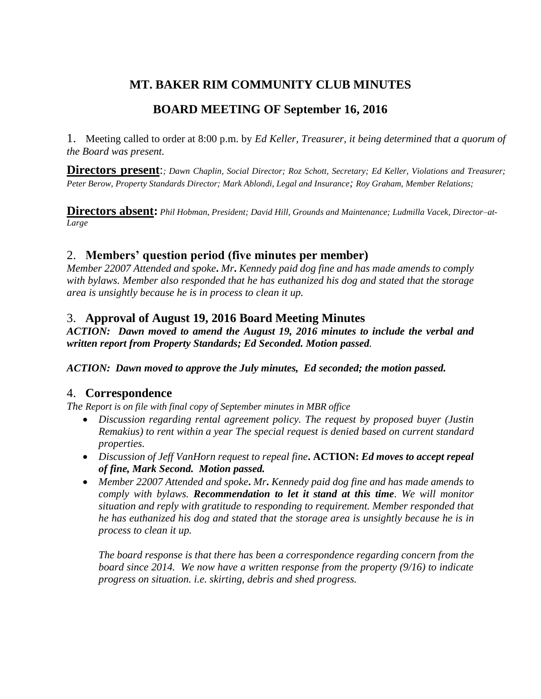# **MT. BAKER RIM COMMUNITY CLUB MINUTES**

# **BOARD MEETING OF September 16, 2016**

1. Meeting called to order at 8:00 p.m. by *Ed Keller, Treasurer, it being determined that a quorum of the Board was present.* 

**Directors present**:*; Dawn Chaplin, Social Director; Roz Schott, Secretary; Ed Keller, Violations and Treasurer; Peter Berow, Property Standards Director; Mark Ablondi, Legal and Insurance; Roy Graham, Member Relations;* 

**Directors absent:** *Phil Hobman, President; David Hill, Grounds and Maintenance; Ludmilla Vacek, Director–at-Large*

# 2. **Members' question period (five minutes per member)**

*Member 22007 Attended and spoke***.** *Mr***.** *Kennedy paid dog fine and has made amends to comply with bylaws. Member also responded that he has euthanized his dog and stated that the storage area is unsightly because he is in process to clean it up.*

# 3. **Approval of August 19, 2016 Board Meeting Minutes**

*ACTION: Dawn moved to amend the August 19, 2016 minutes to include the verbal and written report from Property Standards; Ed Seconded. Motion passed.*

### *ACTION: Dawn moved to approve the July minutes, Ed seconded; the motion passed.*

# 4. **Correspondence**

*The Report is on file with final copy of September minutes in MBR office*

- *Discussion regarding rental agreement policy. The request by proposed buyer (Justin Remakius) to rent within a year The special request is denied based on current standard properties.*
- *Discussion of Jeff VanHorn request to repeal fine***. ACTION:** *Ed moves to accept repeal of fine, Mark Second. Motion passed.*
- *Member 22007 Attended and spoke***.** *Mr***.** *Kennedy paid dog fine and has made amends to comply with bylaws. Recommendation to let it stand at this time. We will monitor situation and reply with gratitude to responding to requirement. Member responded that he has euthanized his dog and stated that the storage area is unsightly because he is in process to clean it up.*

*The board response is that there has been a correspondence regarding concern from the board since 2014. We now have a written response from the property (9/16) to indicate progress on situation. i.e. skirting, debris and shed progress.*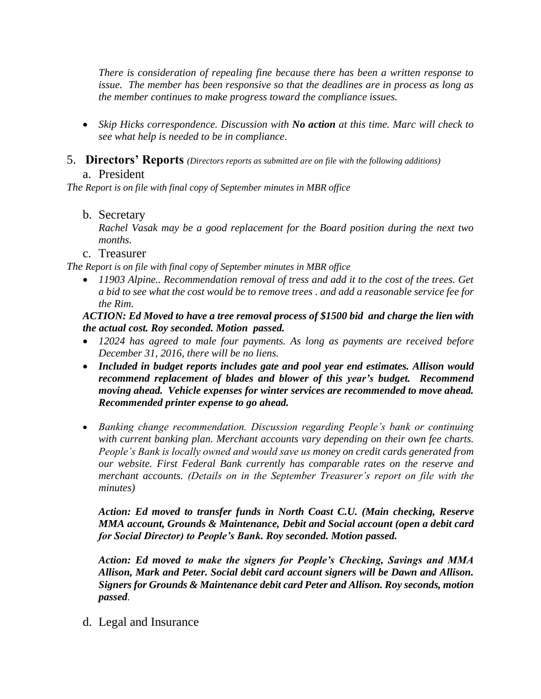*There is consideration of repealing fine because there has been a written response to issue. The member has been responsive so that the deadlines are in process as long as the member continues to make progress toward the compliance issues.*

- *Skip Hicks correspondence. Discussion with No action at this time. Marc will check to see what help is needed to be in compliance*.
- 5. **Directors' Reports** *(Directors reports as submitted are on file with the following additions)* a. President

*The Report is on file with final copy of September minutes in MBR office*

### b. Secretary

*Rachel Vasak may be a good replacement for the Board position during the next two months.*

c. Treasurer

*The Report is on file with final copy of September minutes in MBR office*

 *11903 Alpine.. Recommendation removal of tress and add it to the cost of the trees. Get a bid to see what the cost would be to remove trees . and add a reasonable service fee for the Rim.*

*ACTION: Ed Moved to have a tree removal process of \$1500 bid and charge the lien with the actual cost. Roy seconded. Motion passed.*

- *12024 has agreed to male four payments. As long as payments are received before December 31, 2016, there will be no liens.*
- *Included in budget reports includes gate and pool year end estimates. Allison would recommend replacement of blades and blower of this year's budget. Recommend moving ahead. Vehicle expenses for winter services are recommended to move ahead. Recommended printer expense to go ahead.*
- *Banking change recommendation. Discussion regarding People's bank or continuing with current banking plan. Merchant accounts vary depending on their own fee charts. People's Bank is locally owned and would save us money on credit cards generated from our website. First Federal Bank currently has comparable rates on the reserve and merchant accounts. (Details on in the September Treasurer's report on file with the minutes)*

### *Action: Ed moved to transfer funds in North Coast C.U. (Main checking, Reserve MMA account, Grounds & Maintenance, Debit and Social account (open a debit card for Social Director) to People's Bank. Roy seconded. Motion passed.*

*Action: Ed moved to make the signers for People's Checking, Savings and MMA Allison, Mark and Peter. Social debit card account signers will be Dawn and Allison. Signers for Grounds & Maintenance debit card Peter and Allison. Roy seconds, motion passed*.

d. Legal and Insurance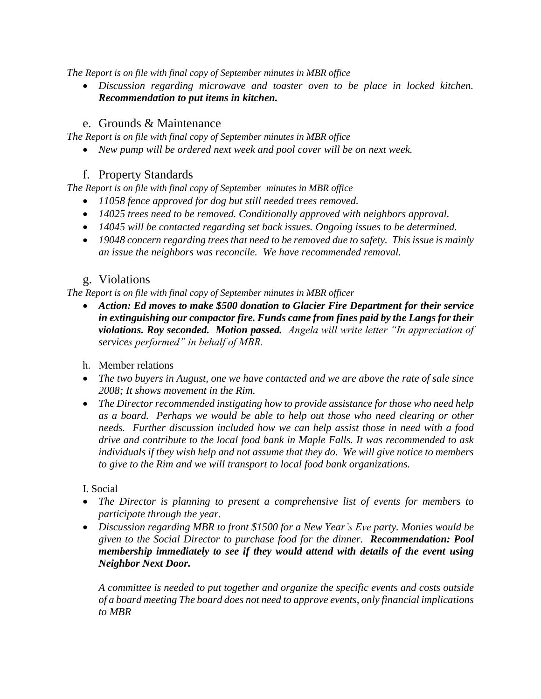*The Report is on file with final copy of September minutes in MBR office*

 *Discussion regarding microwave and toaster oven to be place in locked kitchen. Recommendation to put items in kitchen.*

## e. Grounds & Maintenance

*The Report is on file with final copy of September minutes in MBR office*

*New pump will be ordered next week and pool cover will be on next week.* 

### f. Property Standards

*The Report is on file with final copy of September minutes in MBR office*

- *11058 fence approved for dog but still needed trees removed.*
- *14025 trees need to be removed. Conditionally approved with neighbors approval.*
- *14045 will be contacted regarding set back issues. Ongoing issues to be determined.*
- *19048 concern regarding trees that need to be removed due to safety. This issue is mainly an issue the neighbors was reconcile. We have recommended removal.*

### g. Violations

*The Report is on file with final copy of September minutes in MBR officer*

- *Action: Ed moves to make \$500 donation to Glacier Fire Department for their service in extinguishing our compactor fire. Funds came from fines paid by the Langs for their violations. Roy seconded. Motion passed. Angela will write letter "In appreciation of services performed" in behalf of MBR.*
- h. Member relations
- *The two buyers in August, one we have contacted and we are above the rate of sale since 2008; It shows movement in the Rim.*
- *The Director recommended instigating how to provide assistance for those who need help as a board. Perhaps we would be able to help out those who need clearing or other needs. Further discussion included how we can help assist those in need with a food drive and contribute to the local food bank in Maple Falls. It was recommended to ask individuals if they wish help and not assume that they do. We will give notice to members to give to the Rim and we will transport to local food bank organizations.*

### I. Social

- *The Director is planning to present a comprehensive list of events for members to participate through the year.*
- *Discussion regarding MBR to front \$1500 for a New Year's Eve party. Monies would be given to the Social Director to purchase food for the dinner. Recommendation: Pool membership immediately to see if they would attend with details of the event using Neighbor Next Door.*

*A committee is needed to put together and organize the specific events and costs outside of a board meeting The board does not need to approve events, only financial implications to MBR*